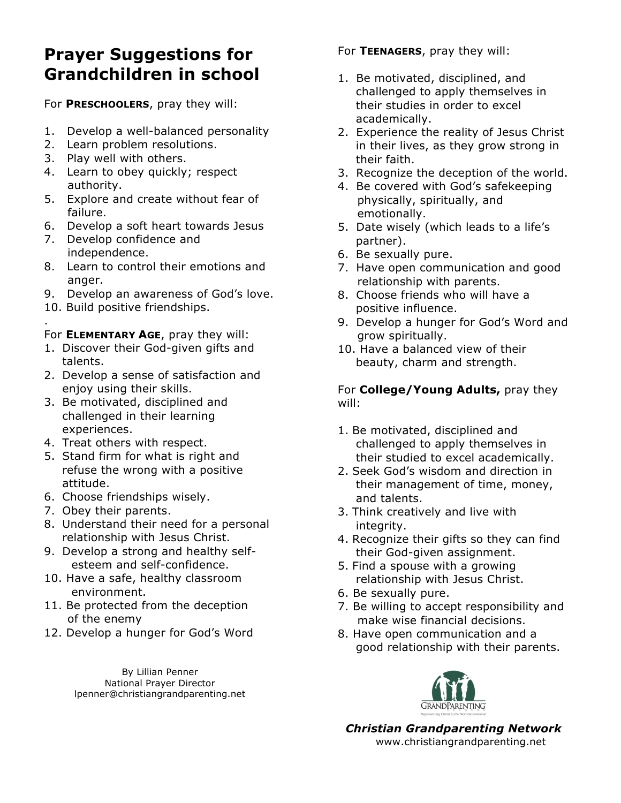## **Prayer Suggestions for Grandchildren in school**

For **PRESCHOOLERS**, pray they will:

- 1. Develop a well-balanced personality
- 2. Learn problem resolutions.
- 3. Play well with others.
- 4. Learn to obey quickly; respect authority.
- 5. Explore and create without fear of failure.
- 6. Develop a soft heart towards Jesus
- 7. Develop confidence and independence.
- 8. Learn to control their emotions and anger.
- 9. Develop an awareness of God's love.
- 10. Build positive friendships.

. For **ELEMENTARY AGE**, pray they will:

- 1. Discover their God-given gifts and talents.
- 2. Develop a sense of satisfaction and enjoy using their skills.
- 3. Be motivated, disciplined and challenged in their learning experiences.
- 4. Treat others with respect.
- 5. Stand firm for what is right and refuse the wrong with a positive attitude.
- 6. Choose friendships wisely.
- 7. Obey their parents.
- 8. Understand their need for a personal relationship with Jesus Christ.
- 9. Develop a strong and healthy self esteem and self-confidence.
- 10. Have a safe, healthy classroom environment.
- 11. Be protected from the deception of the enemy
- 12. Develop a hunger for God's Word

By Lillian Penner National Prayer Director lpenner@christiangrandparenting.net For **TEENAGERS**, pray they will:

- 1. Be motivated, disciplined, and challenged to apply themselves in their studies in order to excel academically.
- 2. Experience the reality of Jesus Christ in their lives, as they grow strong in their faith.
- 3. Recognize the deception of the world.
- 4. Be covered with God's safekeeping physically, spiritually, and emotionally.
- 5. Date wisely (which leads to a life's partner).
- 6. Be sexually pure.
- 7. Have open communication and good relationship with parents.
- 8. Choose friends who will have a positive influence.
- 9. Develop a hunger for God's Word and grow spiritually.
- 10. Have a balanced view of their beauty, charm and strength.

For **College/Young Adults,** pray they will:

- 1. Be motivated, disciplined and challenged to apply themselves in their studied to excel academically.
- 2. Seek God's wisdom and direction in their management of time, money, and talents.
- 3. Think creatively and live with integrity.
- 4. Recognize their gifts so they can find their God-given assignment.
- 5. Find a spouse with a growing relationship with Jesus Christ.
- 6. Be sexually pure.
- 7. Be willing to accept responsibility and make wise financial decisions.
- 8. Have open communication and a good relationship with their parents.



*Christian Grandparenting Network*  www.christiangrandparenting.net